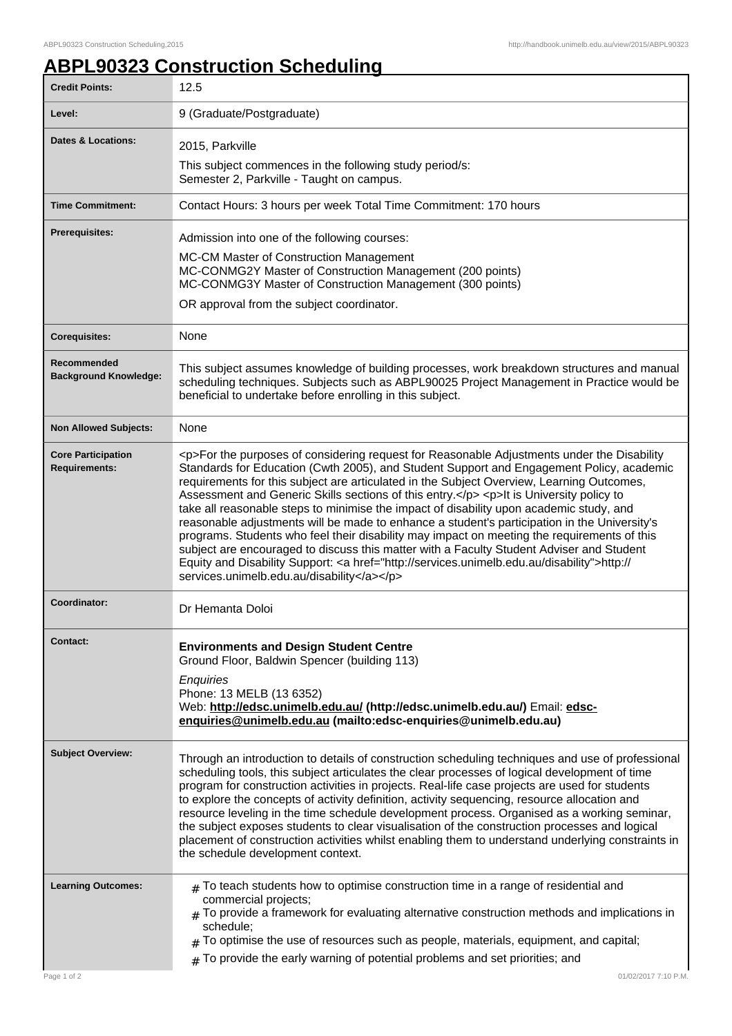## **ABPL90323 Construction Scheduling**

| <b>Credit Points:</b>                             | 12.5                                                                                                                                                                                                                                                                                                                                                                                                                                                                                                                                                                                                                                                                                                                                                                                                                                                                                                                         |
|---------------------------------------------------|------------------------------------------------------------------------------------------------------------------------------------------------------------------------------------------------------------------------------------------------------------------------------------------------------------------------------------------------------------------------------------------------------------------------------------------------------------------------------------------------------------------------------------------------------------------------------------------------------------------------------------------------------------------------------------------------------------------------------------------------------------------------------------------------------------------------------------------------------------------------------------------------------------------------------|
| Level:                                            | 9 (Graduate/Postgraduate)                                                                                                                                                                                                                                                                                                                                                                                                                                                                                                                                                                                                                                                                                                                                                                                                                                                                                                    |
| Dates & Locations:                                | 2015, Parkville                                                                                                                                                                                                                                                                                                                                                                                                                                                                                                                                                                                                                                                                                                                                                                                                                                                                                                              |
|                                                   | This subject commences in the following study period/s:<br>Semester 2, Parkville - Taught on campus.                                                                                                                                                                                                                                                                                                                                                                                                                                                                                                                                                                                                                                                                                                                                                                                                                         |
| <b>Time Commitment:</b>                           | Contact Hours: 3 hours per week Total Time Commitment: 170 hours                                                                                                                                                                                                                                                                                                                                                                                                                                                                                                                                                                                                                                                                                                                                                                                                                                                             |
| <b>Prerequisites:</b>                             | Admission into one of the following courses:<br>MC-CM Master of Construction Management<br>MC-CONMG2Y Master of Construction Management (200 points)<br>MC-CONMG3Y Master of Construction Management (300 points)<br>OR approval from the subject coordinator.                                                                                                                                                                                                                                                                                                                                                                                                                                                                                                                                                                                                                                                               |
| <b>Corequisites:</b>                              | None                                                                                                                                                                                                                                                                                                                                                                                                                                                                                                                                                                                                                                                                                                                                                                                                                                                                                                                         |
| Recommended<br><b>Background Knowledge:</b>       | This subject assumes knowledge of building processes, work breakdown structures and manual<br>scheduling techniques. Subjects such as ABPL90025 Project Management in Practice would be<br>beneficial to undertake before enrolling in this subject.                                                                                                                                                                                                                                                                                                                                                                                                                                                                                                                                                                                                                                                                         |
| <b>Non Allowed Subjects:</b>                      | None                                                                                                                                                                                                                                                                                                                                                                                                                                                                                                                                                                                                                                                                                                                                                                                                                                                                                                                         |
| <b>Core Participation</b><br><b>Requirements:</b> | <p>For the purposes of considering request for Reasonable Adjustments under the Disability<br/>Standards for Education (Cwth 2005), and Student Support and Engagement Policy, academic<br/>requirements for this subject are articulated in the Subject Overview, Learning Outcomes,<br/>Assessment and Generic Skills sections of this entry.</p> <p>lt is University policy to<br/>take all reasonable steps to minimise the impact of disability upon academic study, and<br/>reasonable adjustments will be made to enhance a student's participation in the University's<br/>programs. Students who feel their disability may impact on meeting the requirements of this<br/>subject are encouraged to discuss this matter with a Faculty Student Adviser and Student<br/>Equity and Disability Support: &lt; a href="http://services.unimelb.edu.au/disability"&gt;http://<br/>services.unimelb.edu.au/disability</p> |
| Coordinator:                                      | Dr Hemanta Doloi                                                                                                                                                                                                                                                                                                                                                                                                                                                                                                                                                                                                                                                                                                                                                                                                                                                                                                             |
| Contact:                                          | <b>Environments and Design Student Centre</b><br>Ground Floor, Baldwin Spencer (building 113)<br>Enquiries<br>Phone: 13 MELB (13 6352)<br>Web: http://edsc.unimelb.edu.au/ (http://edsc.unimelb.edu.au/) Email: edsc-<br>enquiries@unimelb.edu.au (mailto:edsc-enquiries@unimelb.edu.au)                                                                                                                                                                                                                                                                                                                                                                                                                                                                                                                                                                                                                                     |
| <b>Subject Overview:</b>                          | Through an introduction to details of construction scheduling techniques and use of professional<br>scheduling tools, this subject articulates the clear processes of logical development of time<br>program for construction activities in projects. Real-life case projects are used for students<br>to explore the concepts of activity definition, activity sequencing, resource allocation and<br>resource leveling in the time schedule development process. Organised as a working seminar,<br>the subject exposes students to clear visualisation of the construction processes and logical<br>placement of construction activities whilst enabling them to understand underlying constraints in<br>the schedule development context.                                                                                                                                                                                |
| <b>Learning Outcomes:</b>                         | $_{\#}$ To teach students how to optimise construction time in a range of residential and<br>commercial projects;<br>To provide a framework for evaluating alternative construction methods and implications in<br>schedule;<br>To optimise the use of resources such as people, materials, equipment, and capital;<br>#<br>To provide the early warning of potential problems and set priorities; and<br>#                                                                                                                                                                                                                                                                                                                                                                                                                                                                                                                  |
| Page 1 of 2                                       | 01/02/2017 7:10 P.M.                                                                                                                                                                                                                                                                                                                                                                                                                                                                                                                                                                                                                                                                                                                                                                                                                                                                                                         |